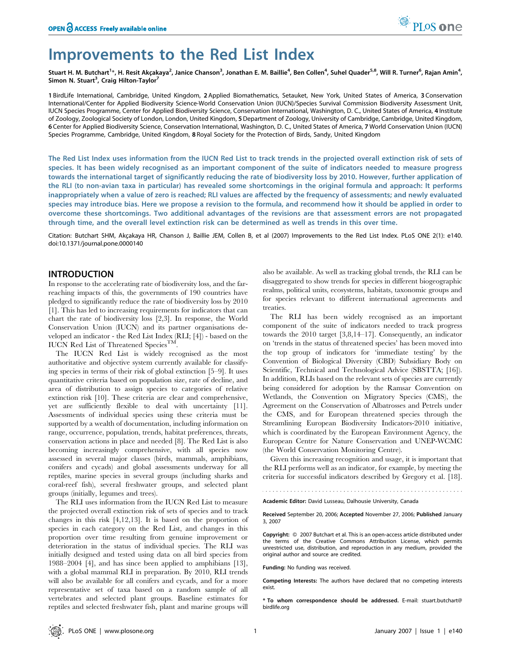# Improvements to the Red List Index

Stuart H. M. Butchart<sup>1</sup>\*, H. Resit Akçakaya<sup>2</sup>, Janice Chanson<sup>3</sup>, Jonathan E. M. Baillie<sup>4</sup>, Ben Collen<sup>4</sup>, Suhel Quader<sup>5,8</sup>, Will R. Turner<sup>6</sup>, Rajan Amin<sup>4</sup>, Simon N. Stuart<sup>3</sup>, Craig Hilton-Taylor<sup>7</sup>

1 BirdLife International, Cambridge, United Kingdom, 2 Applied Biomathematics, Setauket, New York, United States of America, 3 Conservation International/Center for Applied Biodiversity Science-World Conservation Union (IUCN)/Species Survival Commission Biodiversity Assessment Unit, IUCN Species Programme, Center for Applied Biodiversity Science, Conservation International, Washington, D. C., United States of America, 4 Institute of Zoology, Zoological Society of London, London, United Kingdom, 5Department of Zoology, University of Cambridge, Cambridge, United Kingdom, 6 Center for Applied Biodiversity Science, Conservation International, Washington, D. C., United States of America, 7 World Conservation Union (IUCN) Species Programme, Cambridge, United Kingdom, 8 Royal Society for the Protection of Birds, Sandy, United Kingdom

The Red List Index uses information from the IUCN Red List to track trends in the projected overall extinction risk of sets of species. It has been widely recognised as an important component of the suite of indicators needed to measure progress towards the international target of significantly reducing the rate of biodiversity loss by 2010. However, further application of the RLI (to non-avian taxa in particular) has revealed some shortcomings in the original formula and approach: It performs inappropriately when a value of zero is reached; RLI values are affected by the frequency of assessments; and newly evaluated species may introduce bias. Here we propose a revision to the formula, and recommend how it should be applied in order to overcome these shortcomings. Two additional advantages of the revisions are that assessment errors are not propagated through time, and the overall level extinction risk can be determined as well as trends in this over time.

Citation: Butchart SHM, Akçakaya HR, Chanson J, Baillie JEM, Collen B, et al (2007) Improvements to the Red List Index. PLoS ONE 2(1): e140. doi:10.1371/journal.pone.0000140

### INTRODUCTION

In response to the accelerating rate of biodiversity loss, and the farreaching impacts of this, the governments of 190 countries have pledged to significantly reduce the rate of biodiversity loss by 2010 [1]. This has led to increasing requirements for indicators that can chart the rate of biodiversity loss [2,3]. In response, the World Conservation Union (IUCN) and its partner organisations developed an indicator - the Red List Index (RLI; [4]) - based on the IUCN Red List of Threatened Species<sup>TM</sup>.

The IUCN Red List is widely recognised as the most authoritative and objective system currently available for classifying species in terms of their risk of global extinction [5–9]. It uses quantitative criteria based on population size, rate of decline, and area of distribution to assign species to categories of relative extinction risk [10]. These criteria are clear and comprehensive, yet are sufficiently flexible to deal with uncertainty [11]. Assessments of individual species using these criteria must be supported by a wealth of documentation, including information on range, occurrence, population, trends, habitat preferences, threats, conservation actions in place and needed [8]. The Red List is also becoming increasingly comprehensive, with all species now assessed in several major classes (birds, mammals, amphibians, conifers and cycads) and global assessments underway for all reptiles, marine species in several groups (including sharks and coral-reef fish), several freshwater groups, and selected plant groups (initially, legumes and trees).

The RLI uses information from the IUCN Red List to measure the projected overall extinction risk of sets of species and to track changes in this risk [4,12,13]. It is based on the proportion of species in each category on the Red List, and changes in this proportion over time resulting from genuine improvement or deterioration in the status of individual species. The RLI was initially designed and tested using data on all bird species from 1988–2004 [4], and has since been applied to amphibians [13], with a global mammal RLI in preparation. By 2010, RLI trends will also be available for all conifers and cycads, and for a more representative set of taxa based on a random sample of all vertebrates and selected plant groups. Baseline estimates for reptiles and selected freshwater fish, plant and marine groups will

also be available. As well as tracking global trends, the RLI can be disaggregated to show trends for species in different biogeographic realms, political units, ecosystems, habitats, taxonomic groups and for species relevant to different international agreements and treaties.

The RLI has been widely recognised as an important component of the suite of indicators needed to track progress towards the 2010 target [3,8,14–17]. Consequently, an indicator on 'trends in the status of threatened species' has been moved into the top group of indicators for 'immediate testing' by the Convention of Biological Diversity (CBD) Subsidiary Body on Scientific, Technical and Technological Advice (SBSTTA; [16]). In addition, RLIs based on the relevant sets of species are currently being considered for adoption by the Ramsar Convention on Wetlands, the Convention on Migratory Species (CMS), the Agreement on the Conservation of Albatrosses and Petrels under the CMS, and for European threatened species through the Streamlining European Biodiversity Indicators-2010 initiative, which is coordinated by the European Environment Agency, the European Centre for Nature Conservation and UNEP-WCMC (the World Conservation Monitoring Centre).

Given this increasing recognition and usage, it is important that the RLI performs well as an indicator, for example, by meeting the criteria for successful indicators described by Gregory et al. [18].

# 

Academic Editor: David Lusseau, Dalhousie University, Canada

Received September 20, 2006; Accepted November 27, 2006; Published January 3, 2007

Copyright: © 2007 Butchart et al. This is an open-access article distributed under the terms of the Creative Commons Attribution License, which permits unrestricted use, distribution, and reproduction in any medium, provided the original author and source are credited.

Funding: No funding was received.

Competing Interests: The authors have declared that no competing interests exist.

\* To whom correspondence should be addressed. E-mail: stuart.butchart@ birdlife.org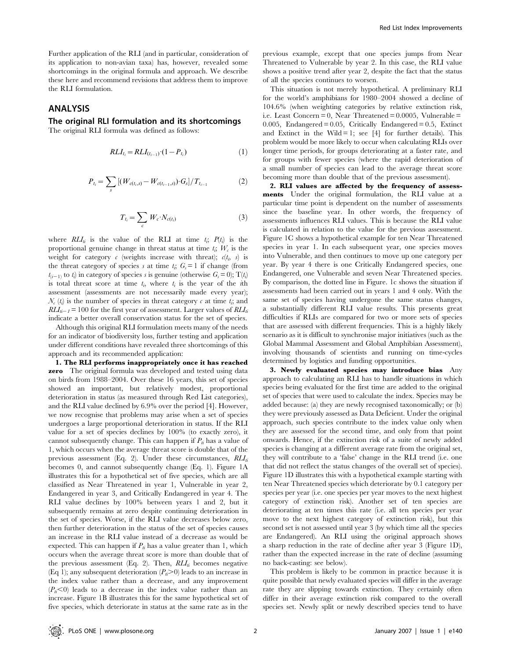Further application of the RLI (and in particular, consideration of its application to non-avian taxa) has, however, revealed some shortcomings in the original formula and approach. We describe these here and recommend revisions that address them to improve the RLI formulation.

# ANALYSIS

# The original RLI formulation and its shortcomings

The original RLI formula was defined as follows:

$$
RLI_{t_i} = RLI_{(t_{i-1})} \cdot (1 - P_{t_i}) \tag{1}
$$

$$
P_{t_i} = \sum_{s} \left[ (W_{c(t_i,s)} - W_{c(t_{i-1,s})}) \cdot G_s \right] / T_{t_{i-1}}
$$
 (2)

$$
T_{t_i} = \sum_c W_c \cdot N_{c(t_i)} \tag{3}
$$

where  $RLI_{ii}$  is the value of the RLI at time  $t_i$ ;  $P(t_i)$  is the proportional genuine change in threat status at time  $t_i$ ,  $W_c$  is the weight for category  $c$  (weights increase with threat);  $c(t_i, s)$  is the threat category of species s at time  $t_i$ ;  $G_s = 1$  if change (from  $t_{(i-1)}$  to  $t_i$ ) in category of species s is genuine (otherwise  $G_s = 0$ );  $T(t_i)$ is total threat score at time  $t_i$ , where  $t_i$  is the year of the *i*th assessment (assessments are not necessarily made every year);  $\mathcal{N}_c$  (*t<sub>i</sub>*) is the number of species in threat category  $c$  at time *t<sub>i</sub>*, and  $RLI_{ti-1}$  = 100 for the first year of assessment. Larger values of  $RLI_{ti}$ indicate a better overall conservation status for the set of species.

Although this original RLI formulation meets many of the needs for an indicator of biodiversity loss, further testing and application under different conditions have revealed three shortcomings of this approach and its recommended application:

1. The RLI performs inappropriately once it has reached zero The original formula was developed and tested using data on birds from 1988–2004. Over these 16 years, this set of species showed an important, but relatively modest, proportional deterioration in status (as measured through Red List categories), and the RLI value declined by 6.9% over the period [4]. However, we now recognise that problems may arise when a set of species undergoes a large proportional deterioration in status. If the RLI value for a set of species declines by 100% (to exactly zero), it cannot subsequently change. This can happen if  $P_t$  has a value of 1, which occurs when the average threat score is double that of the previous assessment (Eq. 2). Under these circumstances,  $RLI_{ti}$ becomes 0, and cannot subsequently change (Eq. 1). Figure 1A illustrates this for a hypothetical set of five species, which are all classified as Near Threatened in year 1, Vulnerable in year 2, Endangered in year 3, and Critically Endangered in year 4. The RLI value declines by 100% between years 1 and 2, but it subsequently remains at zero despite continuing deterioration in the set of species. Worse, if the RLI value decreases below zero, then further deterioration in the status of the set of species causes an increase in the RLI value instead of a decrease as would be expected. This can happen if  $P_t$  has a value greater than 1, which occurs when the average threat score is more than double that of the previous assessment (Eq. 2). Then,  $RLI_{ii}$  becomes negative (Eq 1); any subsequent deterioration  $(P<sub>t</sub> > 0)$  leads to an increase in the index value rather than a decrease, and any improvement  $(P<sub>t</sub> < 0)$  leads to a decrease in the index value rather than an increase. Figure 1B illustrates this for the same hypothetical set of five species, which deteriorate in status at the same rate as in the

previous example, except that one species jumps from Near Threatened to Vulnerable by year 2. In this case, the RLI value shows a positive trend after year 2, despite the fact that the status of all the species continues to worsen.

This situation is not merely hypothetical. A preliminary RLI for the world's amphibians for 1980–2004 showed a decline of 104.6% (when weighting categories by relative extinction risk, i.e. Least Concern  $= 0$ , Near Threatened  $= 0.0005$ , Vulnerable  $=$ 0.005, Endangered =  $0.05$ , Critically Endangered =  $0.5$ , Extinct and Extinct in the Wild  $= 1$ ; see [4] for further details). This problem would be more likely to occur when calculating RLIs over longer time periods, for groups deteriorating at a faster rate, and for groups with fewer species (where the rapid deterioration of a small number of species can lead to the average threat score becoming more than double that of the previous assessment).

2. RLI values are affected by the frequency of assessments Under the original formulation, the RLI value at a particular time point is dependent on the number of assessments since the baseline year. In other words, the frequency of assessments influences RLI values. This is because the RLI value is calculated in relation to the value for the previous assessment. Figure 1C shows a hypothetical example for ten Near Threatened species in year 1. In each subsequent year, one species moves into Vulnerable, and then continues to move up one category per year. By year 4 there is one Critically Endangered species, one Endangered, one Vulnerable and seven Near Threatened species. By comparison, the dotted line in Figure. 1c shows the situation if assessments had been carried out in years 1 and 4 only. With the same set of species having undergone the same status changes, a substantially different RLI value results. This presents great difficulties if RLIs are compared for two or more sets of species that are assessed with different frequencies. This is a highly likely scenario as it is difficult to synchronise major initiatives (such as the Global Mammal Assessment and Global Amphibian Assessment), involving thousands of scientists and running on time-cycles determined by logistics and funding opportunities.

3. Newly evaluated species may introduce bias Any approach to calculating an RLI has to handle situations in which species being evaluated for the first time are added to the original set of species that were used to calculate the index. Species may be added because: (a) they are newly recognised taxonomically; or (b) they were previously assessed as Data Deficient. Under the original approach, such species contribute to the index value only when they are assessed for the second time, and only from that point onwards. Hence, if the extinction risk of a suite of newly added species is changing at a different average rate from the original set, they will contribute to a 'false' change in the RLI trend (i.e. one that did not reflect the status changes of the overall set of species). Figure 1D illustrates this with a hypothetical example starting with ten Near Threatened species which deteriorate by 0.1 category per species per year (i.e. one species per year moves to the next highest category of extinction risk). Another set of ten species are deteriorating at ten times this rate (i.e. all ten species per year move to the next highest category of extinction risk), but this second set is not assessed until year 3 (by which time all the species are Endangered). An RLI using the original approach shows a sharp reduction in the rate of decline after year 3 (Figure 1D), rather than the expected increase in the rate of decline (assuming no back-casting: see below).

This problem is likely to be common in practice because it is quite possible that newly evaluated species will differ in the average rate they are slipping towards extinction. They certainly often differ in their average extinction risk compared to the overall species set. Newly split or newly described species tend to have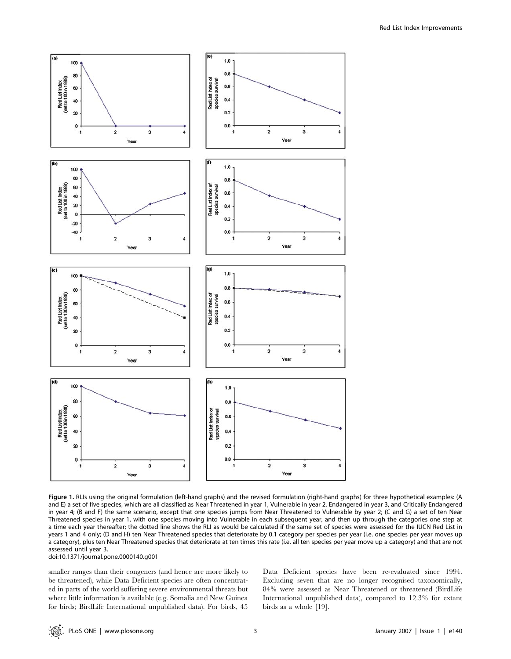

Figure 1. RLIs using the original formulation (left-hand graphs) and the revised formulation (right-hand graphs) for three hypothetical examples: (A and E) a set of five species, which are all classified as Near Threatened in year 1, Vulnerable in year 2, Endangered in year 3, and Critically Endangered in year 4; (B and F) the same scenario, except that one species jumps from Near Threatened to Vulnerable by year 2; (C and G) a set of ten Near Threatened species in year 1, with one species moving into Vulnerable in each subsequent year, and then up through the categories one step at a time each year thereafter; the dotted line shows the RLI as would be calculated if the same set of species were assessed for the IUCN Red List in years 1 and 4 only; (D and H) ten Near Threatened species that deteriorate by 0.1 category per species per year (i.e. one species per year moves up a category), plus ten Near Threatened species that deteriorate at ten times this rate (i.e. all ten species per year move up a category) and that are not assessed until year 3.

doi:10.1371/journal.pone.0000140.g001

smaller ranges than their congeners (and hence are more likely to be threatened), while Data Deficient species are often concentrated in parts of the world suffering severe environmental threats but where little information is available (e.g. Somalia and New Guinea for birds; BirdLife International unpublished data). For birds, 45 Data Deficient species have been re-evaluated since 1994. Excluding seven that are no longer recognised taxonomically, 84% were assessed as Near Threatened or threatened (BirdLife International unpublished data), compared to 12.3% for extant birds as a whole [19].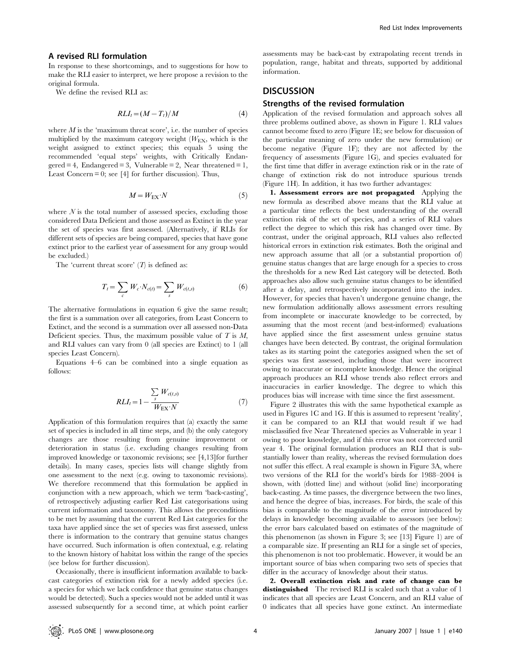#### A revised RLI formulation

In response to these shortcomings, and to suggestions for how to make the RLI easier to interpret, we here propose a revision to the original formula.

We define the revised RLI as:

$$
RLI_t = (M - T_t)/M \tag{4}
$$

where  $M$  is the 'maximum threat score', i.e. the number of species multiplied by the maximum category weight  $(W_{EX}$ , which is the weight assigned to extinct species; this equals 5 using the recommended 'equal steps' weights, with Critically Endan- $\text{gered} = 4$ , Endangered = 3, Vulnerable = 2, Near threatened = 1, Least Concern  $= 0$ ; see [4] for further discussion). Thus,

$$
M = W_{\text{EX}} \cdot N \tag{5}
$$

where  $N$  is the total number of assessed species, excluding those considered Data Deficient and those assessed as Extinct in the year the set of species was first assessed. (Alternatively, if RLIs for different sets of species are being compared, species that have gone extinct prior to the earliest year of assessment for any group would be excluded.)

The 'current threat score'  $(T)$  is defined as:

$$
T_t = \sum_c W_c \cdot N_{c(t)} = \sum_s W_{c(t,s)}
$$
 (6)

The alternative formulations in equation 6 give the same result; the first is a summation over all categories, from Least Concern to Extinct, and the second is a summation over all assessed non-Data Deficient species. Thus, the maximum possible value of  $T$  is  $M$ , and RLI values can vary from 0 (all species are Extinct) to 1 (all species Least Concern).

Equations 4–6 can be combined into a single equation as follows:

$$
RLI_t = 1 - \frac{\sum_{s} W_{c(t,s)}}{W_{\text{EX}} \cdot N} \tag{7}
$$

Application of this formulation requires that (a) exactly the same set of species is included in all time steps, and (b) the only category changes are those resulting from genuine improvement or deterioration in status (i.e. excluding changes resulting from improved knowledge or taxonomic revisions; see [4,13]for further details). In many cases, species lists will change slightly from one assessment to the next (e.g. owing to taxonomic revisions). We therefore recommend that this formulation be applied in conjunction with a new approach, which we term 'back-casting', of retrospectively adjusting earlier Red List categorisations using current information and taxonomy. This allows the preconditions to be met by assuming that the current Red List categories for the taxa have applied since the set of species was first assessed, unless there is information to the contrary that genuine status changes have occurred. Such information is often contextual, e.g. relating to the known history of habitat loss within the range of the species (see below for further discussion).

Occasionally, there is insufficient information available to backcast categories of extinction risk for a newly added species (i.e. a species for which we lack confidence that genuine status changes would be detected). Such a species would not be added until it was assessed subsequently for a second time, at which point earlier

assessments may be back-cast by extrapolating recent trends in population, range, habitat and threats, supported by additional information.

## **DISCUSSION**

#### Strengths of the revised formulation

Application of the revised formulation and approach solves all three problems outlined above, as shown in Figure 1. RLI values cannot become fixed to zero (Figure 1E; see below for discussion of the particular meaning of zero under the new formulation) or become negative (Figure 1F); they are not affected by the frequency of assessments (Figure 1G), and species evaluated for the first time that differ in average extinction risk or in the rate of change of extinction risk do not introduce spurious trends (Figure 1H). In addition, it has two further advantages:

1. Assessment errors are not propagated Applying the new formula as described above means that the RLI value at a particular time reflects the best understanding of the overall extinction risk of the set of species, and a series of RLI values reflect the degree to which this risk has changed over time. By contrast, under the original approach, RLI values also reflected historical errors in extinction risk estimates. Both the original and new approach assume that all (or a substantial proportion of) genuine status changes that are large enough for a species to cross the thresholds for a new Red List category will be detected. Both approaches also allow such genuine status changes to be identified after a delay, and retrospectively incorporated into the index. However, for species that haven't undergone genuine change, the new formulation additionally allows assessment errors resulting from incomplete or inaccurate knowledge to be corrected, by assuming that the most recent (and best-informed) evaluations have applied since the first assessment unless genuine status changes have been detected. By contrast, the original formulation takes as its starting point the categories assigned when the set of species was first assessed, including those that were incorrect owing to inaccurate or incomplete knowledge. Hence the original approach produces an RLI whose trends also reflect errors and inaccuracies in earlier knowledge. The degree to which this produces bias will increase with time since the first assessment.

Figure 2 illustrates this with the same hypothetical example as used in Figures 1C and 1G. If this is assumed to represent 'reality', it can be compared to an RLI that would result if we had misclassified five Near Threatened species as Vulnerable in year 1 owing to poor knowledge, and if this error was not corrected until year 4. The original formulation produces an RLI that is substantially lower than reality, whereas the revised formulation does not suffer this effect. A real example is shown in Figure 3A, where two versions of the RLI for the world's birds for 1988–2004 is shown, with (dotted line) and without (solid line) incorporating back-casting. As time passes, the divergence between the two lines, and hence the degree of bias, increases. For birds, the scale of this bias is comparable to the magnitude of the error introduced by delays in knowledge becoming available to assessors (see below): the error bars calculated based on estimates of the magnitude of this phenomenon (as shown in Figure 3; see [13] Figure 1) are of a comparable size. If presenting an RLI for a single set of species, this phenomenon is not too problematic. However, it would be an important source of bias when comparing two sets of species that differ in the accuracy of knowledge about their status.

2. Overall extinction risk and rate of change can be distinguished The revised RLI is scaled such that a value of 1 indicates that all species are Least Concern, and an RLI value of 0 indicates that all species have gone extinct. An intermediate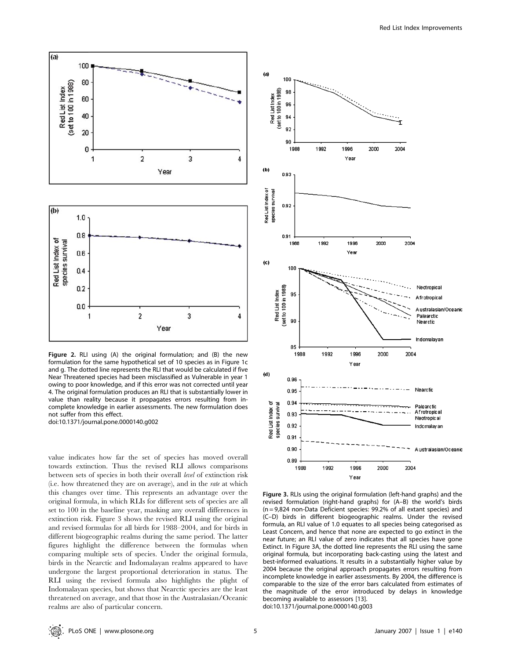

Figure 2. RLI using (A) the original formulation; and (B) the new formulation for the same hypothetical set of 10 species as in Figure 1c and g. The dotted line represents the RLI that would be calculated if five Near Threatened species had been misclassified as Vulnerable in year 1 owing to poor knowledge, and if this error was not corrected until year 4. The original formulation produces an RLI that is substantially lower in value than reality because it propagates errors resulting from incomplete knowledge in earlier assessments. The new formulation does not suffer from this effect.

doi:10.1371/journal.pone.0000140.g002

value indicates how far the set of species has moved overall towards extinction. Thus the revised RLI allows comparisons between sets of species in both their overall level of extinction risk (i.e. how threatened they are on average), and in the rate at which this changes over time. This represents an advantage over the original formula, in which RLIs for different sets of species are all set to 100 in the baseline year, masking any overall differences in extinction risk. Figure 3 shows the revised RLI using the original and revised formulas for all birds for 1988–2004, and for birds in different biogeographic realms during the same period. The latter figures highlight the difference between the formulas when comparing multiple sets of species. Under the original formula, birds in the Nearctic and Indomalayan realms appeared to have undergone the largest proportional deterioration in status. The RLI using the revised formula also highlights the plight of Indomalayan species, but shows that Nearctic species are the least threatened on average, and that those in the Australasian/Oceanic realms are also of particular concern.



Figure 3. RLIs using the original formulation (left-hand graphs) and the revised formulation (right-hand graphs) for (A–B) the world's birds (n = 9,824 non-Data Deficient species: 99.2% of all extant species) and (C–D) birds in different biogeographic realms. Under the revised formula, an RLI value of 1.0 equates to all species being categorised as Least Concern, and hence that none are expected to go extinct in the near future; an RLI value of zero indicates that all species have gone Extinct. In Figure 3A, the dotted line represents the RLI using the same original formula, but incorporating back-casting using the latest and best-informed evaluations. It results in a substantially higher value by 2004 because the original approach propagates errors resulting from incomplete knowledge in earlier assessments. By 2004, the difference is comparable to the size of the error bars calculated from estimates of the magnitude of the error introduced by delays in knowledge becoming available to assessors [13]. doi:10.1371/journal.pone.0000140.g003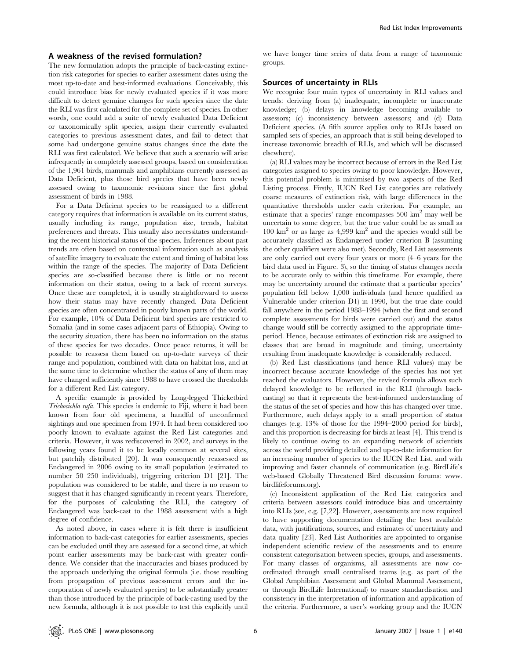#### A weakness of the revised formulation?

The new formulation adopts the principle of back-casting extinction risk categories for species to earlier assessment dates using the most up-to-date and best-informed evaluations. Conceivably, this could introduce bias for newly evaluated species if it was more difficult to detect genuine changes for such species since the date the RLI was first calculated for the complete set of species. In other words, one could add a suite of newly evaluated Data Deficient or taxonomically split species, assign their currently evaluated categories to previous assessment dates, and fail to detect that some had undergone genuine status changes since the date the RLI was first calculated. We believe that such a scenario will arise infrequently in completely assessed groups, based on consideration of the 1,961 birds, mammals and amphibians currently assessed as Data Deficient, plus those bird species that have been newly assessed owing to taxonomic revisions since the first global assessment of birds in 1988.

For a Data Deficient species to be reassigned to a different category requires that information is available on its current status, usually including its range, population size, trends, habitat preferences and threats. This usually also necessitates understanding the recent historical status of the species. Inferences about past trends are often based on contextual information such as analysis of satellite imagery to evaluate the extent and timing of habitat loss within the range of the species. The majority of Data Deficient species are so-classified because there is little or no recent information on their status, owing to a lack of recent surveys. Once these are completed, it is usually straightforward to assess how their status may have recently changed. Data Deficient species are often concentrated in poorly known parts of the world. For example, 10% of Data Deficient bird species are restricted to Somalia (and in some cases adjacent parts of Ethiopia). Owing to the security situation, there has been no information on the status of these species for two decades. Once peace returns, it will be possible to reassess them based on up-to-date surveys of their range and population, combined with data on habitat loss, and at the same time to determine whether the status of any of them may have changed sufficiently since 1988 to have crossed the thresholds for a different Red List category.

A specific example is provided by Long-legged Thicketbird Trichocichla rufa. This species is endemic to Fiji, where it had been known from four old specimens, a handful of unconfirmed sightings and one specimen from 1974. It had been considered too poorly known to evaluate against the Red List categories and criteria. However, it was rediscovered in 2002, and surveys in the following years found it to be locally common at several sites, but patchily distributed [20]. It was consequently reassessed as Endangered in 2006 owing to its small population (estimated to number 50–250 individuals), triggering criterion D1 [21]. The population was considered to be stable, and there is no reason to suggest that it has changed significantly in recent years. Therefore, for the purposes of calculating the RLI, the category of Endangered was back-cast to the 1988 assessment with a high degree of confidence.

As noted above, in cases where it is felt there is insufficient information to back-cast categories for earlier assessments, species can be excluded until they are assessed for a second time, at which point earlier assessments may be back-cast with greater confidence. We consider that the inaccuracies and biases produced by the approach underlying the original formula (i.e. those resulting from propagation of previous assessment errors and the incorporation of newly evaluated species) to be substantially greater than those introduced by the principle of back-casting used by the new formula, although it is not possible to test this explicitly until we have longer time series of data from a range of taxonomic groups.

#### Sources of uncertainty in RLIs

We recognise four main types of uncertainty in RLI values and trends: deriving from (a) inadequate, incomplete or inaccurate knowledge; (b) delays in knowledge becoming available to assessors; (c) inconsistency between assessors; and (d) Data Deficient species. (A fifth source applies only to RLIs based on sampled sets of species, an approach that is still being developed to increase taxonomic breadth of RLIs, and which will be discussed elsewhere).

(a) RLI values may be incorrect because of errors in the Red List categories assigned to species owing to poor knowledge. However, this potential problem is minimised by two aspects of the Red Listing process. Firstly, IUCN Red List categories are relatively coarse measures of extinction risk, with large differences in the quantitative thresholds under each criterion. For example, an estimate that a species' range encompasses 500 km2 may well be uncertain to some degree, but the true value could be as small as 100 km2 or as large as 4,999 km2 and the species would still be accurately classified as Endangered under criterion B (assuming the other qualifiers were also met). Secondly, Red List assessments are only carried out every four years or more (4–6 years for the bird data used in Figure. 3), so the timing of status changes needs to be accurate only to within this timeframe. For example, there may be uncertainty around the estimate that a particular species' population fell below 1,000 individuals (and hence qualified as Vulnerable under criterion D1) in 1990, but the true date could fall anywhere in the period 1988–1994 (when the first and second complete assessments for birds were carried out) and the status change would still be correctly assigned to the appropriate timeperiod. Hence, because estimates of extinction risk are assigned to classes that are broad in magnitude and timing, uncertainty resulting from inadequate knowledge is considerably reduced.

(b) Red List classifications (and hence RLI values) may be incorrect because accurate knowledge of the species has not yet reached the evaluators. However, the revised formula allows such delayed knowledge to be reflected in the RLI (through backcasting) so that it represents the best-informed understanding of the status of the set of species and how this has changed over time. Furthermore, such delays apply to a small proportion of status changes (e.g. 13% of those for the 1994–2000 period for birds), and this proportion is decreasing for birds at least [4]. This trend is likely to continue owing to an expanding network of scientists across the world providing detailed and up-to-date information for an increasing number of species to the IUCN Red List, and with improving and faster channels of communication (e.g. BirdLife's web-based Globally Threatened Bird discussion forums: www. birdlifeforums.org).

(c) Inconsistent application of the Red List categories and criteria between assessors could introduce bias and uncertainty into RLIs (see, e.g. [7,22]. However, assessments are now required to have supporting documentation detailing the best available data, with justifications, sources, and estimates of uncertainty and data quality [23]. Red List Authorities are appointed to organise independent scientific review of the assessments and to ensure consistent categorisation between species, groups, and assessments. For many classes of organisms, all assessments are now coordinated through small centralised teams (e.g. as part of the Global Amphibian Assessment and Global Mammal Assessment, or through BirdLife International) to ensure standardisation and consistency in the interpretation of information and application of the criteria. Furthermore, a user's working group and the IUCN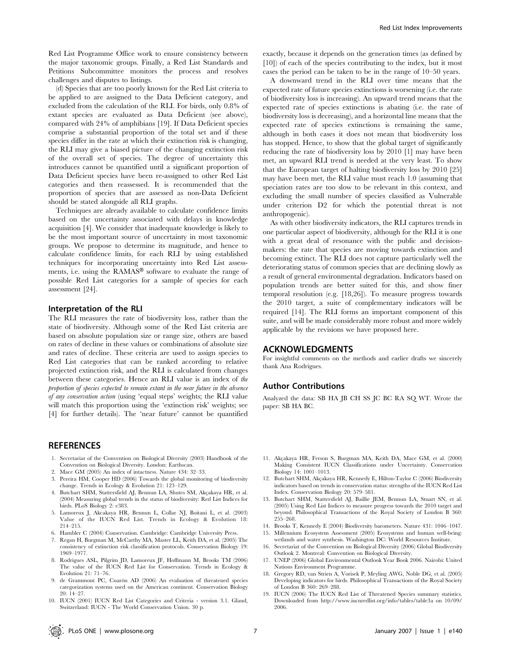Red List Programme Office work to ensure consistency between the major taxonomic groups. Finally, a Red List Standards and Petitions Subcommittee monitors the process and resolves challenges and disputes to listings.

(d) Species that are too poorly known for the Red List criteria to be applied to are assigned to the Data Deficient category, and excluded from the calculation of the RLI. For birds, only 0.8% of extant species are evaluated as Data Deficient (see above), compared with 24% of amphibians [19]. If Data Deficient species comprise a substantial proportion of the total set and if these species differ in the rate at which their extinction risk is changing, the RLI may give a biased picture of the changing extinction risk of the overall set of species. The degree of uncertainty this introduces cannot be quantified until a significant proportion of Data Deficient species have been re-assigned to other Red List categories and then reassessed. It is recommended that the proportion of species that are assessed as non-Data Deficient should be stated alongside all RLI graphs.

Techniques are already available to calculate confidence limits based on the uncertainty associated with delays in knowledge acquisition [4]. We consider that inadequate knowledge is likely to be the most important source of uncertainty in most taxonomic groups. We propose to determine its magnitude, and hence to calculate confidence limits, for each RLI by using established techniques for incorporating uncertainty into Red List assessments, i.e. using the RAMAS<sup>®</sup> software to evaluate the range of possible Red List categories for a sample of species for each assessment [24].

#### Interpretation of the RLI

The RLI measures the rate of biodiversity loss, rather than the state of biodiversity. Although some of the Red List criteria are based on absolute population size or range size, others are based on rates of decline in these values or combinations of absolute size and rates of decline. These criteria are used to assign species to Red List categories that can be ranked according to relative projected extinction risk, and the RLI is calculated from changes between these categories. Hence an RLI value is an index of the proportion of species expected to remain extant in the near future in the absence of any conservation action (using 'equal steps' weights; the RLI value will match this proportion using the 'extinction risk' weights; see [4] for further details). The 'near future' cannot be quantified

## **REFERENCES**

- 1. Secretariat of the Convention on Biological Diversity (2003) Handbook of the Convention on Biological Diversity. London: Earthscan.
- 2. Mace GM (2005) An index of intactness. Nature 434: 32–33.
- 3. Pereira HM, Cooper HD (2006) Towards the global monitoring of biodiversity change. Trends in Ecology & Evolution 21: 123–129.
- 4. Butchart SHM, Stattersfield AJ, Bennun LA, Shutes SM, Akçakaya HR, et al. (2004) Measuring global trends in the status of biodiversity: Red List Indices for birds. PLoS Biology 2: e383.
- 5. Lamoreux J, Akcakaya HR, Bennun L, Collar NJ, Boitani L, et al. (2003) Value of the IUCN Red List. Trends in Ecology & Evolution 18: 214–215.
- 6. Hambler C (2004) Conservation. Cambridge: Cambridge University Press.
- 7. Regan H, Burgman M, McCarthy MA, Master LL, Keith DA, et al. (2005) The consistency of extinction risk classification protocols. Conservation Biology 19: 1969–1977.
- 8. Rodrigues ASL, Pilgrim JD, Lamoreux JF, Hoffmann M, Brooks TM (2006) The value of the IUCN Red List for Conservation. Trends in Ecology & Evolution 21: 71–76.
- 9. de Grammont PC, Cuarón AD (2006) An evaluation of threatened species categorization systems used on the American continent. Conservation Biology 20: 14–27.
- 10. IUCN (2001) IUCN Red List Categories and Criteria version 3.1. Gland, Switzerland: IUCN - The World Conservation Union. 30 p.

exactly, because it depends on the generation times (as defined by [10]) of each of the species contributing to the index, but it most cases the period can be taken to be in the range of 10–50 years.

A downward trend in the RLI over time means that the expected rate of future species extinctions is worsening (i.e. the rate of biodiversity loss is increasing). An upward trend means that the expected rate of species extinctions is abating (i.e. the rate of biodiversity loss is decreasing), and a horizontal line means that the expected rate of species extinctions is remaining the same, although in both cases it does not mean that biodiversity loss has stopped. Hence, to show that the global target of significantly reducing the rate of biodiversity loss by 2010 [1] may have been met, an upward RLI trend is needed at the very least. To show that the European target of halting biodiversity loss by 2010 [25] may have been met, the RLI value must reach 1.0 (assuming that speciation rates are too slow to be relevant in this context, and excluding the small number of species classified as Vulnerable under criterion D2 for which the potential threat is not anthropogenic).

As with other biodiversity indicators, the RLI captures trends in one particular aspect of biodiversity, although for the RLI it is one with a great deal of resonance with the public and decisionmakers: the rate that species are moving towards extinction and becoming extinct. The RLI does not capture particularly well the deteriorating status of common species that are declining slowly as a result of general environmental degradation. Indicators based on population trends are better suited for this, and show finer temporal resolution (e.g. [18,26]). To measure progress towards the 2010 target, a suite of complementary indicators will be required [14]. The RLI forms an important component of this suite, and will be made considerably more robust and more widely applicable by the revisions we have proposed here.

## ACKNOWLEDGMENTS

For insightful comments on the methods and earlier drafts we sincerely thank Ana Rodrigues.

#### Author Contributions

Analyzed the data: SB HA JB CH SS JC BC RA SQ WT. Wrote the paper: SB HA BC.

- 11. Akçakaya HR, Ferson S, Burgman MA, Keith DA, Mace GM, et al. (2000) Making Consistent IUCN Classifications under Uncertainty. Conservation Biology 14: 1001–1013.
- 12. Butchart SHM, Akçakaya HR, Kennedy E, Hilton-Taylor C (2006) Biodiversity indicators based on trends in conservation status: strengths of the IUCN Red List Index. Conservation Biology 20: 579–581.
- 13. Butchart SHM, Stattersfield AJ, Baillie JEM, Bennun LA, Stuart SN, et al. (2005) Using Red List Indices to measure progress towards the 2010 target and beyond. Philosophical Transactions of the Royal Society of London B 360: 255–268.
- 14. Brooks T, Kennedy E (2004) Biodiversity barometers. Nature 431: 1046–1047.
- 15. Millennium Ecosystem Assessment (2005) Ecosystems and human well-being: wetlands and water synthesis. Washington DC: World Resources Institute.
- 16. Secretariat of the Convention on Biological Diversity (2006) Global Biodiversity Outlook 2. Montreal: Convention on Biological Diversity.
- 17. UNEP (2006) Global Environmental Outlook Year Book 2006. Nairobi: United Nations Environment Programme.
- 18. Gregory RD, van Strien A, Vorisek P, Meyling AWG, Noble DG, et al. (2005) Developing indicators for birds. Philosophical Transactions of the Royal Society of London B 360: 269–288.
- 19. IUCN (2006) The IUCN Red List of Threatened Species summary statistics. Downloaded from http://www.iucnredlist.org/info/tables/table3a on 10/09/ 2006.